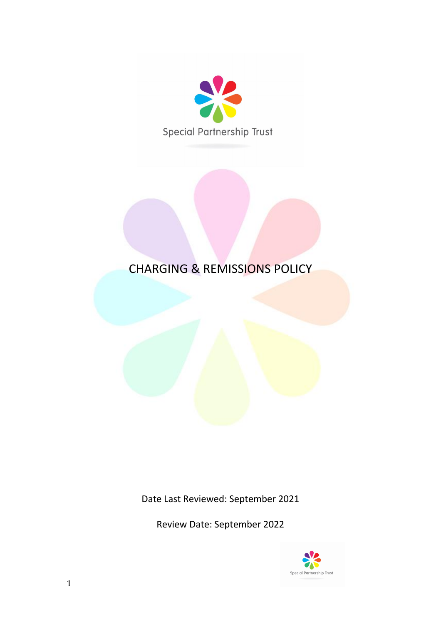

# CHARGING & REMISSIONS POLICY

Date Last Reviewed: September 2021

Review Date: September 2022

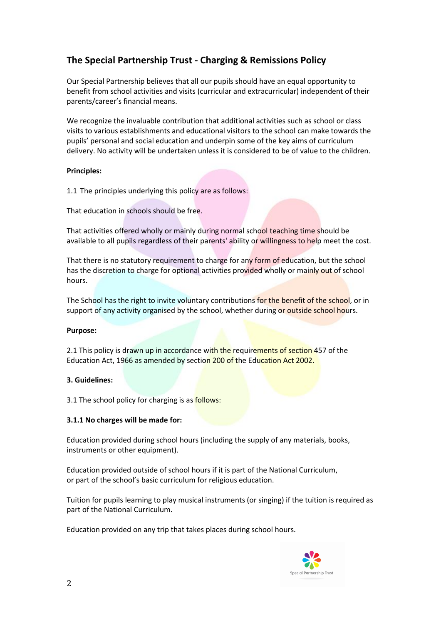# **The Special Partnership Trust - Charging & Remissions Policy**

Our Special Partnership believes that all our pupils should have an equal opportunity to benefit from school activities and visits (curricular and extracurricular) independent of their parents/career's financial means.

We recognize the invaluable contribution that additional activities such as school or class visits to various establishments and educational visitors to the school can make towards the pupils' personal and social education and underpin some of the key aims of curriculum delivery. No activity will be undertaken unless it is considered to be of value to the children.

# **Principles:**

1.1 The principles underlying this policy are as follows:

That education in schools should be free.

That activities offered wholly or mainly during normal school teaching time should be available to all pupils regardless of their parents' ability or willingness to help meet the cost.

That there is no statutory requirement to charge for any form of education, but the school has the discretion to charge for optional activities provided wholly or mainly out of school hours.

The School has the right to invite voluntary contributions for the benefit of the school, or in support of any activity organised by the school, whether during or outside school hours.

# **Purpose:**

2.1 This policy is drawn up in accordance with the requirements of section 457 of the Education Act, 1966 as amended by section 200 of the Education Act 2002.

# **3. Guidelines:**

3.1 The school policy for charging is as follows:

# **3.1.1 No charges will be made for:**

Education provided during school hours (including the supply of any materials, books, instruments or other equipment).

Education provided outside of school hours if it is part of the National Curriculum, or part of the school's basic curriculum for religious education.

Tuition for pupils learning to play musical instruments (or singing) if the tuition is required as part of the National Curriculum.

Education provided on any trip that takes places during school hours.

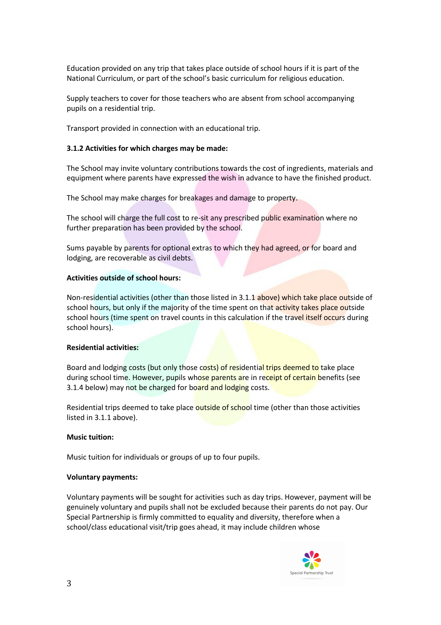Education provided on any trip that takes place outside of school hours if it is part of the National Curriculum, or part of the school's basic curriculum for religious education.

Supply teachers to cover for those teachers who are absent from school accompanying pupils on a residential trip.

Transport provided in connection with an educational trip.

#### **3.1.2 Activities for which charges may be made:**

The School may invite voluntary contributions towards the cost of ingredients, materials and equipment where parents have expressed the wish in advance to have the finished product.

The School may make charges for breakages and damage to property.

The school will charge the full cost to re-sit any prescribed public examination where no further preparation has been provided by the school.

Sums payable by parents for optional extras to which they had agreed, or for board and lodging, are recoverable as civil debts.

#### **Activities outside of school hours:**

Non-residential activities (other than those listed in 3.1.1 above) which take place outside of school hours, but only if the majority of the time spent on that activity takes place outside school hours (time spent on travel counts in this calculation if the travel itself occurs during school hours).

#### **Residential activities:**

Board and lodging costs (but only those costs) of residential trips deemed to take place during school time. However, pupils whose parents are in receipt of certain benefits (see 3.1.4 below) may not be charged for board and lodging costs.

Residential trips deemed to take place outside of school time (other than those activities listed in 3.1.1 above).

#### **Music tuition:**

Music tuition for individuals or groups of up to four pupils.

#### **Voluntary payments:**

Voluntary payments will be sought for activities such as day trips. However, payment will be genuinely voluntary and pupils shall not be excluded because their parents do not pay. Our Special Partnership is firmly committed to equality and diversity, therefore when a school/class educational visit/trip goes ahead, it may include children whose

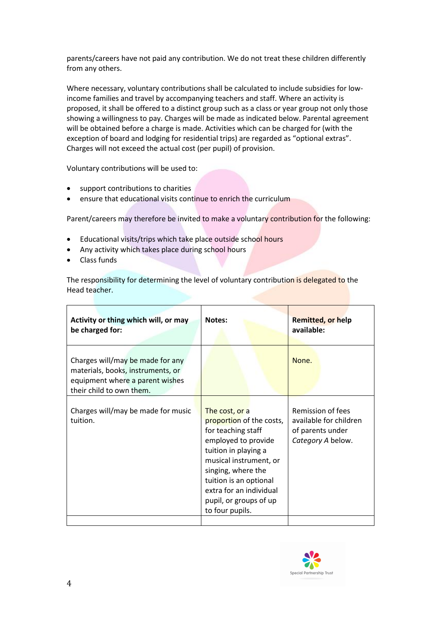parents/careers have not paid any contribution. We do not treat these children differently from any others.

Where necessary, voluntary contributions shall be calculated to include subsidies for lowincome families and travel by accompanying teachers and staff. Where an activity is proposed, it shall be offered to a distinct group such as a class or year group not only those showing a willingness to pay. Charges will be made as indicated below. Parental agreement will be obtained before a charge is made. Activities which can be charged for (with the exception of board and lodging for residential trips) are regarded as "optional extras". Charges will not exceed the actual cost (per pupil) of provision.

Voluntary contributions will be used to:

- support contributions to charities
- ensure that educational visits continue to enrich the curriculum

Parent/careers may therefore be invited to make a voluntary contribution for the following:

- Educational visits/trips which take place outside school hours
- Any activity which takes place during school hours
- Class funds

The responsibility for determining the level of voluntary contribution is delegated to the Head teacher.

| Charges will/may be made for any<br>materials, books, instruments, or<br>equipment where a parent wishes<br>their child to own them.<br>Charges will/may be made for music<br>The cost, or a<br>tuition.<br>proportion of the costs,<br>for teaching staff<br>employed to provide<br>tuition in playing a<br>musical instrument, or<br>singing, where the<br>tuition is an optional | Activity or thing which will, or may<br>be charged for: | Notes:                  | <b>Remitted, or help</b><br>available:                                               |
|-------------------------------------------------------------------------------------------------------------------------------------------------------------------------------------------------------------------------------------------------------------------------------------------------------------------------------------------------------------------------------------|---------------------------------------------------------|-------------------------|--------------------------------------------------------------------------------------|
|                                                                                                                                                                                                                                                                                                                                                                                     |                                                         |                         | None.                                                                                |
| pupil, or groups of up<br>to four pupils.                                                                                                                                                                                                                                                                                                                                           |                                                         | extra for an individual | Remission of fees<br>available for children<br>of parents under<br>Category A below. |

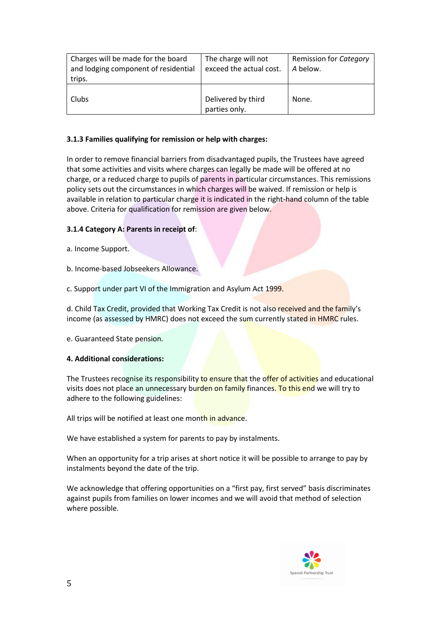| Charges will be made for the board<br>and lodging component of residential<br>trips. | The charge will not<br>exceed the actual cost. | Remission for Category<br>A below. |
|--------------------------------------------------------------------------------------|------------------------------------------------|------------------------------------|
| Clubs                                                                                | Delivered by third<br>parties only.            | None.                              |

# **3.1.3 Families qualifying for remission or help with charges:**

In order to remove financial barriers from disadvantaged pupils, the Trustees have agreed that some activities and visits where charges can legally be made will be offered at no charge, or a reduced charge to pupils of parents in particular circumstances. This remissions policy sets out the circumstances in which charges will be waived. If remission or help is available in relation to particular charge it is indicated in the right-hand column of the table above. Criteria for qualification for remission are given below.

# **3.1.4 Category A: Parents in receipt of**:

a. Income Support.

b. Income-based Jobseekers Allowance.

c. Support under part VI of the Immigration and Asylum Act 1999.

d. Child Tax Credit, provided that Working Tax Credit is not also received and the family's income (as assessed by HMRC) does not exceed the sum currently stated in HMRC rules.

e. Guaranteed State pension.

# **4. Additional considerations:**

The Trustees recognise its responsibility to ensure that the offer of activities and educational visits does not place an unnecessary burden on family finances. To this end we will try to adhere to the following guidelines:

All trips will be notified at least one month in advance.

We have established a system for parents to pay by instalments.

When an opportunity for a trip arises at short notice it will be possible to arrange to pay by instalments beyond the date of the trip.

We acknowledge that offering opportunities on a "first pay, first served" basis discriminates against pupils from families on lower incomes and we will avoid that method of selection where possible.